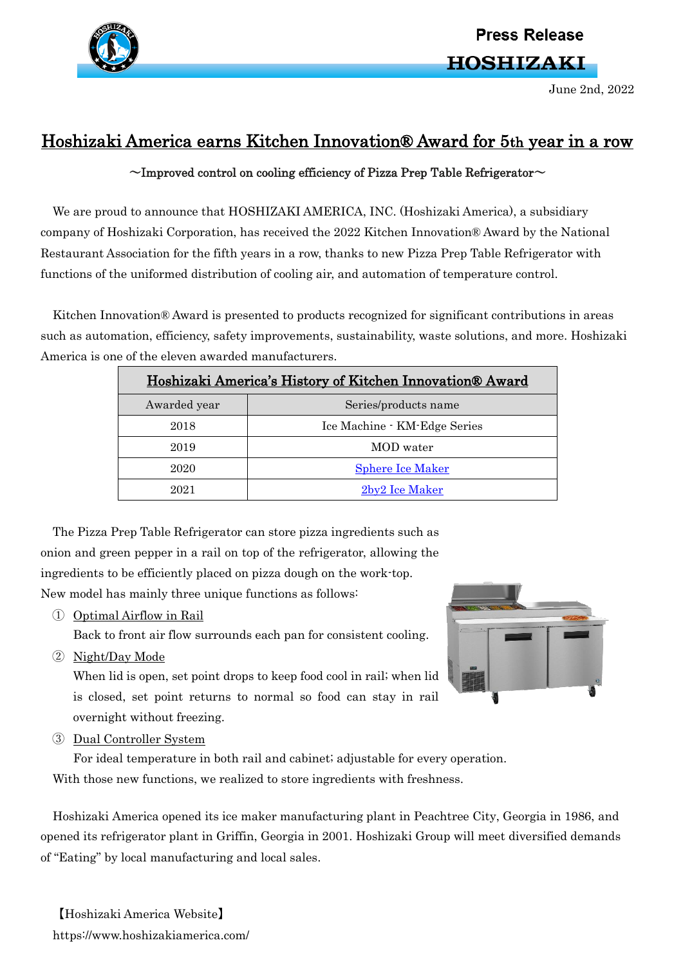

## **Press Release**

**HOSHIZAKI** 

June 2nd, 2022

## Hoshizaki America earns Kitchen Innovation® Award for 5th year in a row

 $\sim$ Improved control on cooling efficiency of Pizza Prep Table Refrigerator $\sim$ 

We are proud to announce that HOSHIZAKI AMERICA, INC. (Hoshizaki America), a subsidiary company of Hoshizaki Corporation, has received the 2022 Kitchen Innovation® Award by the National Restaurant Association for the fifth years in a row, thanks to new Pizza Prep Table Refrigerator with functions of the uniformed distribution of cooling air, and automation of temperature control.

Kitchen Innovation® Award is presented to products recognized for significant contributions in areas such as automation, efficiency, safety improvements, sustainability, waste solutions, and more. Hoshizaki America is one of the eleven awarded manufacturers.

| Hoshizaki America's History of Kitchen Innovation® Award |                              |
|----------------------------------------------------------|------------------------------|
| Awarded year                                             | Series/products name         |
| 2018                                                     | Ice Machine - KM-Edge Series |
| 2019                                                     | MOD water                    |
| 2020                                                     | <b>Sphere Ice Maker</b>      |
| 2021                                                     | 2by2 Ice Maker               |

The Pizza Prep Table Refrigerator can store pizza ingredients such as onion and green pepper in a rail on top of the refrigerator, allowing the ingredients to be efficiently placed on pizza dough on the work-top. New model has mainly three unique functions as follows:

① Optimal Airflow in Rail

Back to front air flow surrounds each pan for consistent cooling.

② Night/Day Mode

When lid is open, set point drops to keep food cool in rail; when lid is closed, set point returns to normal so food can stay in rail overnight without freezing.

③ Dual Controller System

For ideal temperature in both rail and cabinet; adjustable for every operation. With those new functions, we realized to store ingredients with freshness.

Hoshizaki America opened its ice maker manufacturing plant in Peachtree City, Georgia in 1986, and opened its refrigerator plant in Griffin, Georgia in 2001. Hoshizaki Group will meet diversified demands of "Eating" by local manufacturing and local sales.